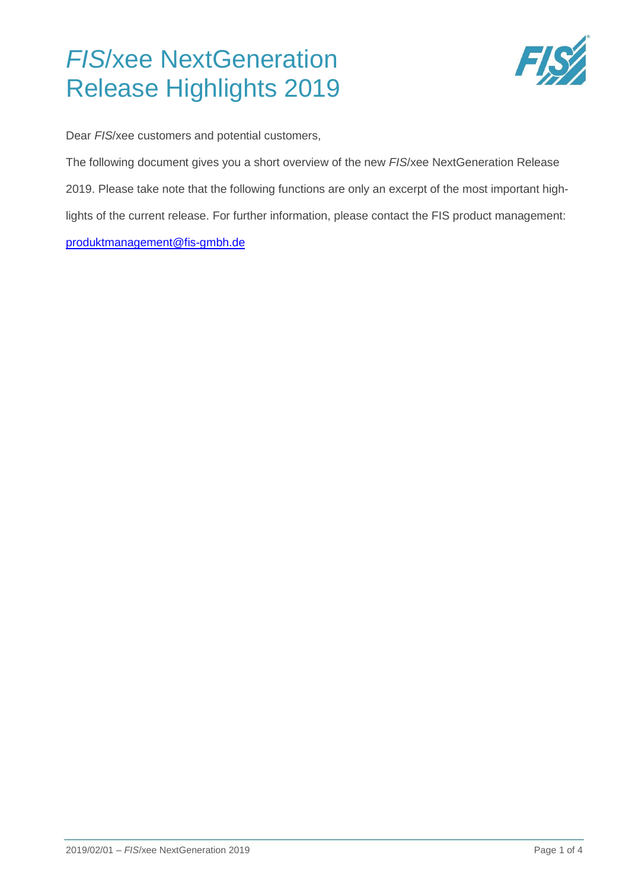# *FIS*/xee NextGeneration Release Highlights 2019



Dear *FIS*/xee customers and potential customers,

The following document gives you a short overview of the new *FIS*/xee NextGeneration Release 2019. Please take note that the following functions are only an excerpt of the most important highlights of the current release. For further information, please contact the FIS product management: [produktmanagement@fis-gmbh.de](mailto:produktmanagement@fis-gmbh.de)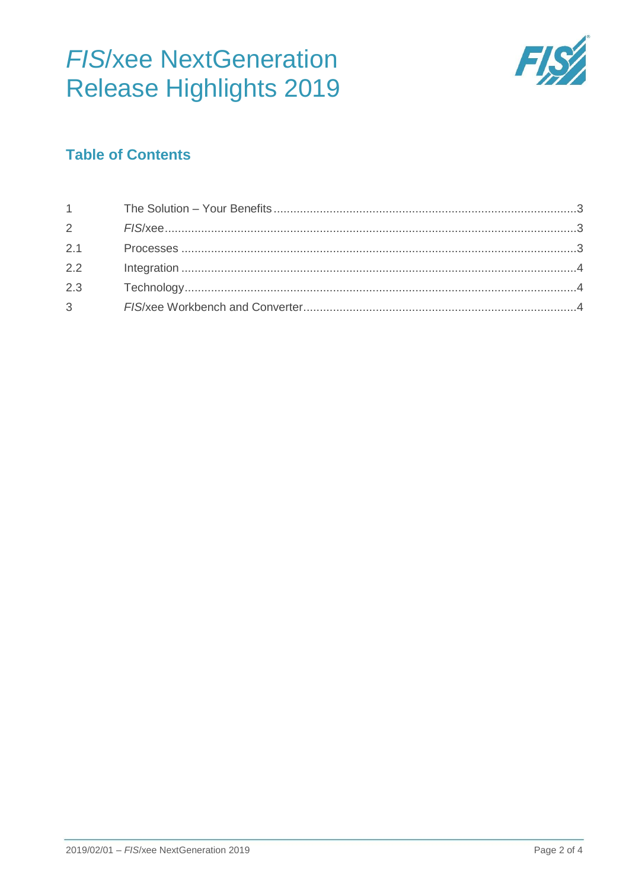# **FIS/xee NextGeneration Release Highlights 2019**



## **Table of Contents**

| $1 \quad \blacksquare$ |  |
|------------------------|--|
|                        |  |
|                        |  |
| 2.2                    |  |
| 2.3                    |  |
|                        |  |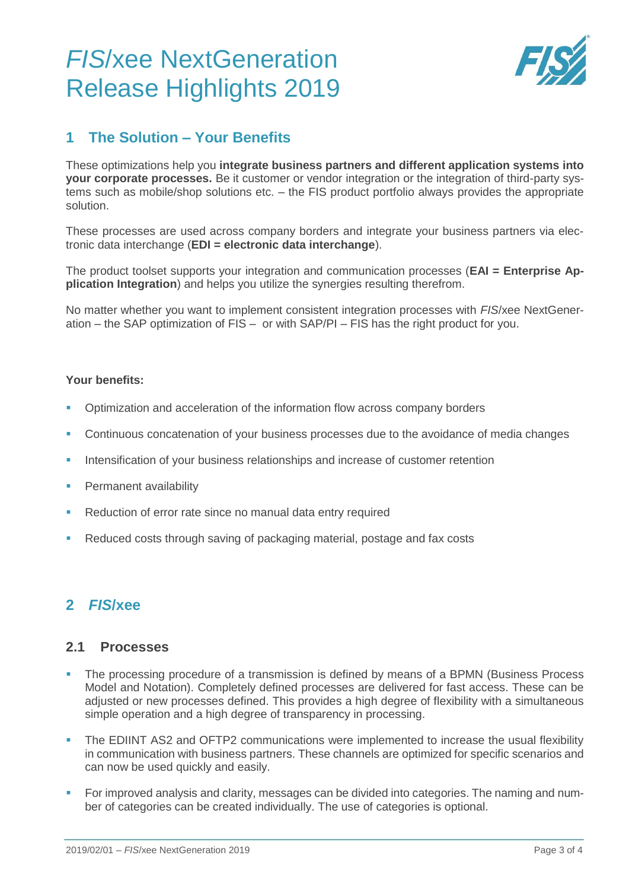# *FIS*/xee NextGeneration Release Highlights 2019



### <span id="page-2-0"></span>**1 The Solution – Your Benefits**

These optimizations help you **integrate business partners and different application systems into your corporate processes.** Be it customer or vendor integration or the integration of third-party systems such as mobile/shop solutions etc. – the FIS product portfolio always provides the appropriate solution.

These processes are used across company borders and integrate your business partners via electronic data interchange (**EDI = electronic data interchange**).

The product toolset supports your integration and communication processes (**EAI = Enterprise Application Integration**) and helps you utilize the synergies resulting therefrom.

No matter whether you want to implement consistent integration processes with *FIS*/xee NextGeneration – the SAP optimization of FIS [–](http://fis-gmbh.de/fis-xee.html) or with SAP/PI – FIS has the right product for you.

#### **Your benefits:**

- Optimization and acceleration of the information flow across company borders
- Continuous concatenation of your business processes due to the avoidance of media changes
- Intensification of your business relationships and increase of customer retention
- Permanent availability
- Reduction of error rate since no manual data entry required
- Reduced costs through saving of packaging material, postage and fax costs

### <span id="page-2-1"></span>**2** *FIS***/xee**

#### <span id="page-2-2"></span>**2.1 Processes**

- The processing procedure of a transmission is defined by means of a BPMN (Business Process Model and Notation). Completely defined processes are delivered for fast access. These can be adjusted or new processes defined. This provides a high degree of flexibility with a simultaneous simple operation and a high degree of transparency in processing.
- The EDIINT AS2 and OFTP2 communications were implemented to increase the usual flexibility in communication with business partners. These channels are optimized for specific scenarios and can now be used quickly and easily.
- For improved analysis and clarity, messages can be divided into categories. The naming and number of categories can be created individually. The use of categories is optional.